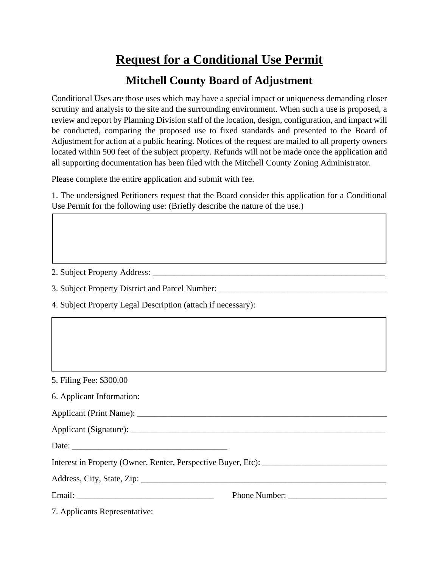## **Request for a Conditional Use Permit**

## **Mitchell County Board of Adjustment**

Conditional Uses are those uses which may have a special impact or uniqueness demanding closer scrutiny and analysis to the site and the surrounding environment. When such a use is proposed, a review and report by Planning Division staff of the location, design, configuration, and impact will be conducted, comparing the proposed use to fixed standards and presented to the Board of Adjustment for action at a public hearing. Notices of the request are mailed to all property owners located within 500 feet of the subject property. Refunds will not be made once the application and all supporting documentation has been filed with the Mitchell County Zoning Administrator.

Please complete the entire application and submit with fee.

1. The undersigned Petitioners request that the Board consider this application for a Conditional Use Permit for the following use: (Briefly describe the nature of the use.)

2. Subject Property Address: \_\_\_\_\_\_\_\_\_\_\_\_\_\_\_\_\_\_\_\_\_\_\_\_\_\_\_\_\_\_\_\_\_\_\_\_\_\_\_\_\_\_\_\_\_\_\_\_\_\_\_\_\_\_

3. Subject Property District and Parcel Number:

4. Subject Property Legal Description (attach if necessary):

5. Filing Fee: \$300.00

|  |  |  | 6. Applicant Information: |  |
|--|--|--|---------------------------|--|
|--|--|--|---------------------------|--|

| <b>Applicant (Print Name):</b> |  |
|--------------------------------|--|
|                                |  |

| Applicant (Signature): |  |
|------------------------|--|
|                        |  |

Date:

Interest in Property (Owner, Renter, Perspective Buyer, Etc):

Address, City, State, Zip: \_\_\_\_\_\_\_\_\_\_\_\_\_\_\_\_\_\_\_\_\_\_\_\_\_\_\_\_\_\_\_\_\_\_\_\_\_\_\_\_\_\_\_\_\_\_\_\_\_\_\_\_\_\_\_\_\_

Email: Email: **Email: Email: Phone Number:**  $\blacksquare$ 

7. Applicants Representative: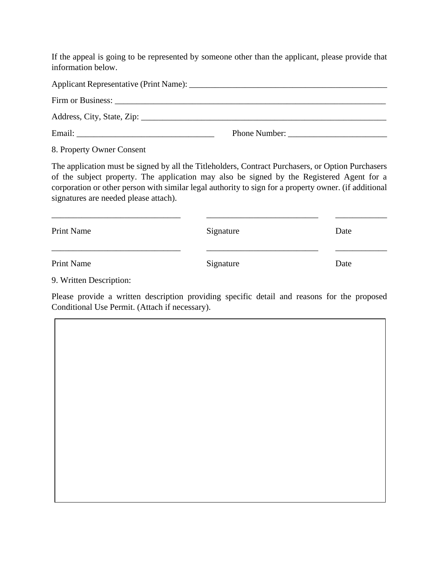If the appeal is going to be represented by someone other than the applicant, please provide that information below.

|  | <b>Phone Number:</b> |  |  |  |  |
|--|----------------------|--|--|--|--|

8. Property Owner Consent

The application must be signed by all the Titleholders, Contract Purchasers, or Option Purchasers of the subject property. The application may also be signed by the Registered Agent for a corporation or other person with similar legal authority to sign for a property owner. (if additional signatures are needed please attach).

| Print Name | Signature | Date |
|------------|-----------|------|
| Print Name | Signature | Date |

9. Written Description:

Please provide a written description providing specific detail and reasons for the proposed Conditional Use Permit. (Attach if necessary).